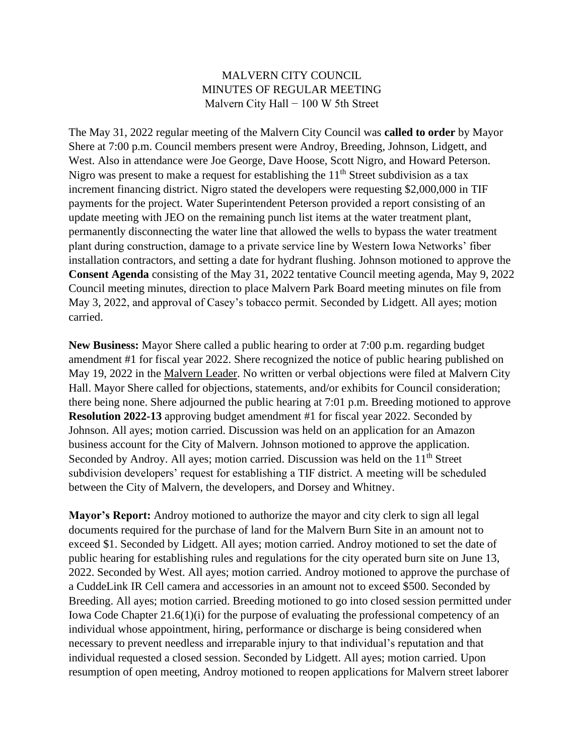## MALVERN CITY COUNCIL MINUTES OF REGULAR MEETING Malvern City Hall − 100 W 5th Street

The May 31, 2022 regular meeting of the Malvern City Council was **called to order** by Mayor Shere at 7:00 p.m. Council members present were Androy, Breeding, Johnson, Lidgett, and West. Also in attendance were Joe George, Dave Hoose, Scott Nigro, and Howard Peterson. Nigro was present to make a request for establishing the  $11<sup>th</sup>$  Street subdivision as a tax increment financing district. Nigro stated the developers were requesting \$2,000,000 in TIF payments for the project. Water Superintendent Peterson provided a report consisting of an update meeting with JEO on the remaining punch list items at the water treatment plant, permanently disconnecting the water line that allowed the wells to bypass the water treatment plant during construction, damage to a private service line by Western Iowa Networks' fiber installation contractors, and setting a date for hydrant flushing. Johnson motioned to approve the **Consent Agenda** consisting of the May 31, 2022 tentative Council meeting agenda, May 9, 2022 Council meeting minutes, direction to place Malvern Park Board meeting minutes on file from May 3, 2022, and approval of Casey's tobacco permit. Seconded by Lidgett. All ayes; motion carried.

**New Business:** Mayor Shere called a public hearing to order at 7:00 p.m. regarding budget amendment #1 for fiscal year 2022. Shere recognized the notice of public hearing published on May 19, 2022 in the Malvern Leader. No written or verbal objections were filed at Malvern City Hall. Mayor Shere called for objections, statements, and/or exhibits for Council consideration; there being none. Shere adjourned the public hearing at 7:01 p.m. Breeding motioned to approve **Resolution 2022-13** approving budget amendment #1 for fiscal year 2022. Seconded by Johnson. All ayes; motion carried. Discussion was held on an application for an Amazon business account for the City of Malvern. Johnson motioned to approve the application. Seconded by Androy. All ayes; motion carried. Discussion was held on the 11<sup>th</sup> Street subdivision developers' request for establishing a TIF district. A meeting will be scheduled between the City of Malvern, the developers, and Dorsey and Whitney.

**Mayor's Report:** Androy motioned to authorize the mayor and city clerk to sign all legal documents required for the purchase of land for the Malvern Burn Site in an amount not to exceed \$1. Seconded by Lidgett. All ayes; motion carried. Androy motioned to set the date of public hearing for establishing rules and regulations for the city operated burn site on June 13, 2022. Seconded by West. All ayes; motion carried. Androy motioned to approve the purchase of a CuddeLink IR Cell camera and accessories in an amount not to exceed \$500. Seconded by Breeding. All ayes; motion carried. Breeding motioned to go into closed session permitted under Iowa Code Chapter 21.6(1)(i) for the purpose of evaluating the professional competency of an individual whose appointment, hiring, performance or discharge is being considered when necessary to prevent needless and irreparable injury to that individual's reputation and that individual requested a closed session. Seconded by Lidgett. All ayes; motion carried. Upon resumption of open meeting, Androy motioned to reopen applications for Malvern street laborer